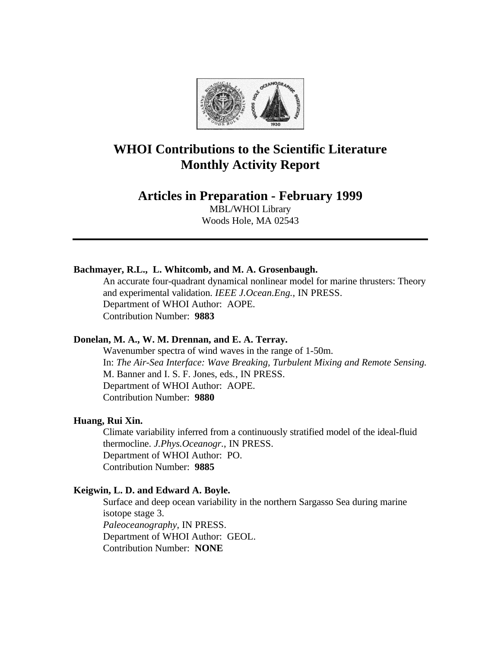

# **WHOI Contributions to the Scientific Literature Monthly Activity Report**

# **Articles in Preparation - February 1999**

MBL/WHOI Library Woods Hole, MA 02543

# **Bachmayer, R.L., L. Whitcomb, and M. A. Grosenbaugh.**

An accurate four-quadrant dynamical nonlinear model for marine thrusters: Theory and experimental validation. *IEEE J.Ocean.Eng.*, IN PRESS. Department of WHOI Author: AOPE. Contribution Number: **9883**

## **Donelan, M. A., W. M. Drennan, and E. A. Terray.**

Wavenumber spectra of wind waves in the range of 1-50m. In: *The Air-Sea Interface: Wave Breaking, Turbulent Mixing and Remote Sensing.* M. Banner and I. S. F. Jones, eds*.*, IN PRESS. Department of WHOI Author: AOPE. Contribution Number: **9880**

#### **Huang, Rui Xin.**

Climate variability inferred from a continuously stratified model of the ideal-fluid thermocline. *J.Phys.Oceanogr.*, IN PRESS. Department of WHOI Author: PO. Contribution Number: **9885**

#### **Keigwin, L. D. and Edward A. Boyle.**

Surface and deep ocean variability in the northern Sargasso Sea during marine isotope stage 3. *Paleoceanography*, IN PRESS. Department of WHOI Author: GEOL. Contribution Number: **NONE**